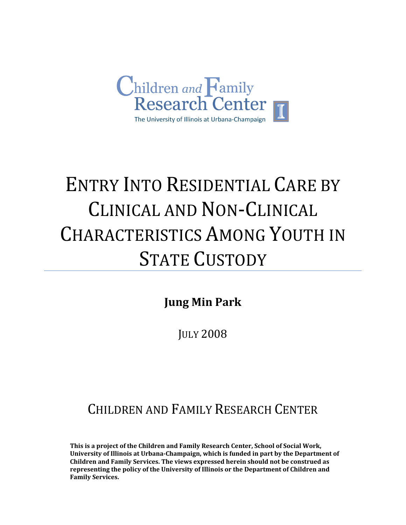

# ENTRY INTO RESIDENTIAL CARE BY CLINICAL AND NON‐CLINICAL CHARACTERISTICS AMONG YOUTH IN **STATE CUSTODY**

**Jung Min Park** 

JULY 2008

# CHILDREN AND FAMILY RESEARCH CENTER

**This is a project of the Children and Family Research Center, School of Social Work, University of Illinois at UrbanaChampaign, which is funded in part by the Department of Children and Family Services. The views expressed herein should not be construed as representing the policy of the University of Illinois or the Department of Children and Family Services.**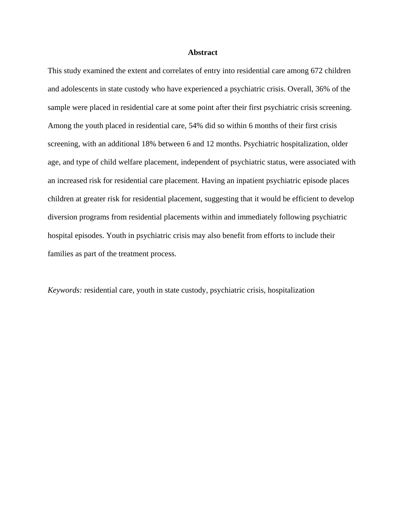# **Abstract**

This study examined the extent and correlates of entry into residential care among 672 children and adolescents in state custody who have experienced a psychiatric crisis. Overall, 36% of the sample were placed in residential care at some point after their first psychiatric crisis screening. Among the youth placed in residential care, 54% did so within 6 months of their first crisis screening, with an additional 18% between 6 and 12 months. Psychiatric hospitalization, older age, and type of child welfare placement, independent of psychiatric status, were associated with an increased risk for residential care placement. Having an inpatient psychiatric episode places children at greater risk for residential placement, suggesting that it would be efficient to develop diversion programs from residential placements within and immediately following psychiatric hospital episodes. Youth in psychiatric crisis may also benefit from efforts to include their families as part of the treatment process.

*Keywords:* residential care, youth in state custody, psychiatric crisis, hospitalization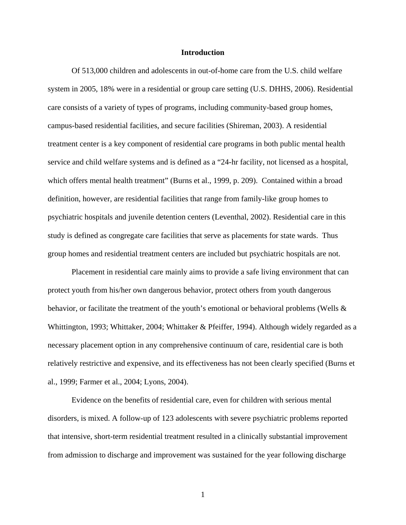# **Introduction**

Of 513,000 children and adolescents in out-of-home care from the U.S. child welfare system in 2005, 18% were in a residential or group care setting (U.S. DHHS, 2006). Residential care consists of a variety of types of programs, including community-based group homes, campus-based residential facilities, and secure facilities (Shireman, 2003). A residential treatment center is a key component of residential care programs in both public mental health service and child welfare systems and is defined as a "24-hr facility, not licensed as a hospital, which offers mental health treatment" (Burns et al., 1999, p. 209). Contained within a broad definition, however, are residential facilities that range from family-like group homes to psychiatric hospitals and juvenile detention centers (Leventhal, 2002). Residential care in this study is defined as congregate care facilities that serve as placements for state wards. Thus group homes and residential treatment centers are included but psychiatric hospitals are not.

Placement in residential care mainly aims to provide a safe living environment that can protect youth from his/her own dangerous behavior, protect others from youth dangerous behavior, or facilitate the treatment of the youth's emotional or behavioral problems (Wells & Whittington, 1993; Whittaker, 2004; Whittaker & Pfeiffer, 1994). Although widely regarded as a necessary placement option in any comprehensive continuum of care, residential care is both relatively restrictive and expensive, and its effectiveness has not been clearly specified (Burns et al., 1999; Farmer et al., 2004; Lyons, 2004).

Evidence on the benefits of residential care, even for children with serious mental disorders, is mixed. A follow-up of 123 adolescents with severe psychiatric problems reported that intensive, short-term residential treatment resulted in a clinically substantial improvement from admission to discharge and improvement was sustained for the year following discharge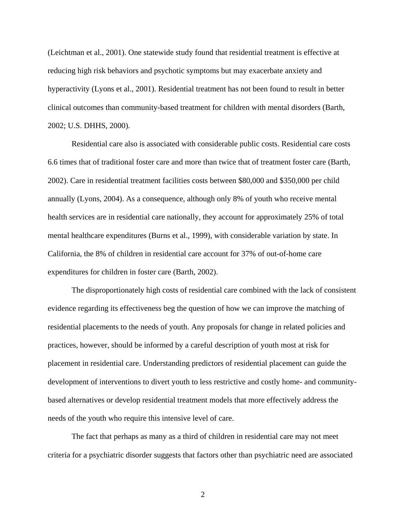(Leichtman et al., 2001). One statewide study found that residential treatment is effective at reducing high risk behaviors and psychotic symptoms but may exacerbate anxiety and hyperactivity (Lyons et al., 2001). Residential treatment has not been found to result in better clinical outcomes than community-based treatment for children with mental disorders (Barth, 2002; U.S. DHHS, 2000).

Residential care also is associated with considerable public costs. Residential care costs 6.6 times that of traditional foster care and more than twice that of treatment foster care (Barth, 2002). Care in residential treatment facilities costs between \$80,000 and \$350,000 per child annually (Lyons, 2004). As a consequence, although only 8% of youth who receive mental health services are in residential care nationally, they account for approximately 25% of total mental healthcare expenditures (Burns et al., 1999), with considerable variation by state. In California, the 8% of children in residential care account for 37% of out-of-home care expenditures for children in foster care (Barth, 2002).

The disproportionately high costs of residential care combined with the lack of consistent evidence regarding its effectiveness beg the question of how we can improve the matching of residential placements to the needs of youth. Any proposals for change in related policies and practices, however, should be informed by a careful description of youth most at risk for placement in residential care. Understanding predictors of residential placement can guide the development of interventions to divert youth to less restrictive and costly home- and communitybased alternatives or develop residential treatment models that more effectively address the needs of the youth who require this intensive level of care.

The fact that perhaps as many as a third of children in residential care may not meet criteria for a psychiatric disorder suggests that factors other than psychiatric need are associated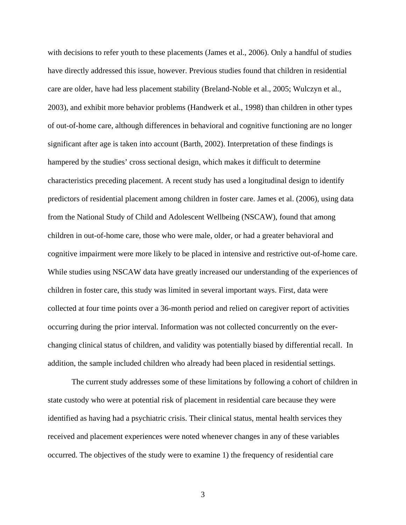with decisions to refer youth to these placements (James et al., 2006). Only a handful of studies have directly addressed this issue, however. Previous studies found that children in residential care are older, have had less placement stability (Breland-Noble et al., 2005; Wulczyn et al., 2003), and exhibit more behavior problems (Handwerk et al., 1998) than children in other types of out-of-home care, although differences in behavioral and cognitive functioning are no longer significant after age is taken into account (Barth, 2002). Interpretation of these findings is hampered by the studies' cross sectional design, which makes it difficult to determine characteristics preceding placement. A recent study has used a longitudinal design to identify predictors of residential placement among children in foster care. James et al. (2006), using data from the National Study of Child and Adolescent Wellbeing (NSCAW), found that among children in out-of-home care, those who were male, older, or had a greater behavioral and cognitive impairment were more likely to be placed in intensive and restrictive out-of-home care. While studies using NSCAW data have greatly increased our understanding of the experiences of children in foster care, this study was limited in several important ways. First, data were collected at four time points over a 36-month period and relied on caregiver report of activities occurring during the prior interval. Information was not collected concurrently on the everchanging clinical status of children, and validity was potentially biased by differential recall. In addition, the sample included children who already had been placed in residential settings.

The current study addresses some of these limitations by following a cohort of children in state custody who were at potential risk of placement in residential care because they were identified as having had a psychiatric crisis. Their clinical status, mental health services they received and placement experiences were noted whenever changes in any of these variables occurred. The objectives of the study were to examine 1) the frequency of residential care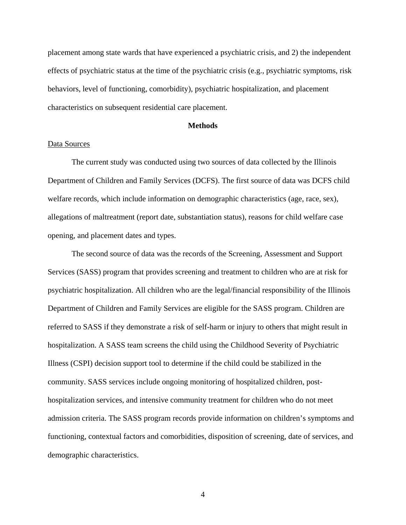placement among state wards that have experienced a psychiatric crisis, and 2) the independent effects of psychiatric status at the time of the psychiatric crisis (e.g., psychiatric symptoms, risk behaviors, level of functioning, comorbidity), psychiatric hospitalization, and placement characteristics on subsequent residential care placement.

# **Methods**

# Data Sources

The current study was conducted using two sources of data collected by the Illinois Department of Children and Family Services (DCFS). The first source of data was DCFS child welfare records, which include information on demographic characteristics (age, race, sex), allegations of maltreatment (report date, substantiation status), reasons for child welfare case opening, and placement dates and types.

The second source of data was the records of the Screening, Assessment and Support Services (SASS) program that provides screening and treatment to children who are at risk for psychiatric hospitalization. All children who are the legal/financial responsibility of the Illinois Department of Children and Family Services are eligible for the SASS program. Children are referred to SASS if they demonstrate a risk of self-harm or injury to others that might result in hospitalization. A SASS team screens the child using the Childhood Severity of Psychiatric Illness (CSPI) decision support tool to determine if the child could be stabilized in the community. SASS services include ongoing monitoring of hospitalized children, posthospitalization services, and intensive community treatment for children who do not meet admission criteria. The SASS program records provide information on children's symptoms and functioning, contextual factors and comorbidities, disposition of screening, date of services, and demographic characteristics.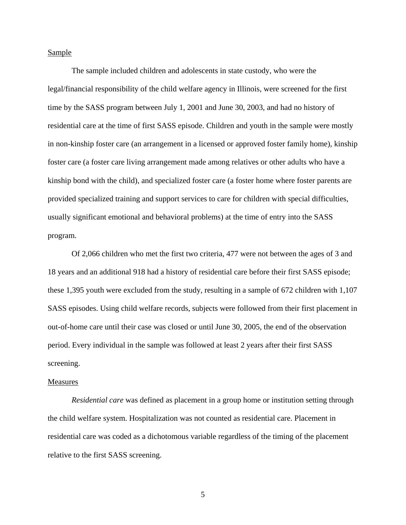# **Sample**

The sample included children and adolescents in state custody, who were the legal/financial responsibility of the child welfare agency in Illinois, were screened for the first time by the SASS program between July 1, 2001 and June 30, 2003, and had no history of residential care at the time of first SASS episode. Children and youth in the sample were mostly in non-kinship foster care (an arrangement in a licensed or approved foster family home), kinship foster care (a foster care living arrangement made among relatives or other adults who have a kinship bond with the child), and specialized foster care (a foster home where foster parents are provided specialized training and support services to care for children with special difficulties, usually significant emotional and behavioral problems) at the time of entry into the SASS program.

Of 2,066 children who met the first two criteria, 477 were not between the ages of 3 and 18 years and an additional 918 had a history of residential care before their first SASS episode; these 1,395 youth were excluded from the study, resulting in a sample of 672 children with 1,107 SASS episodes. Using child welfare records, subjects were followed from their first placement in out-of-home care until their case was closed or until June 30, 2005, the end of the observation period. Every individual in the sample was followed at least 2 years after their first SASS screening.

#### **Measures**

*Residential care* was defined as placement in a group home or institution setting through the child welfare system. Hospitalization was not counted as residential care. Placement in residential care was coded as a dichotomous variable regardless of the timing of the placement relative to the first SASS screening.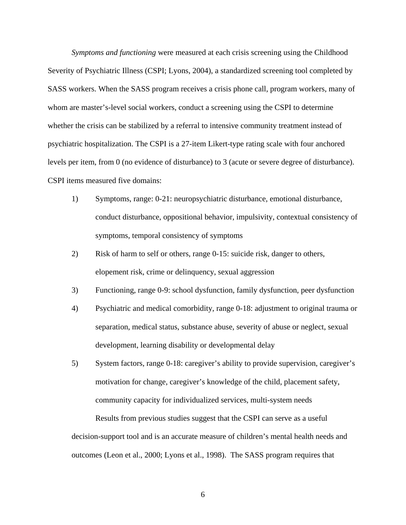*Symptoms and functioning* were measured at each crisis screening using the Childhood Severity of Psychiatric Illness (CSPI; Lyons, 2004), a standardized screening tool completed by SASS workers. When the SASS program receives a crisis phone call, program workers, many of whom are master's-level social workers, conduct a screening using the CSPI to determine whether the crisis can be stabilized by a referral to intensive community treatment instead of psychiatric hospitalization. The CSPI is a 27-item Likert-type rating scale with four anchored levels per item, from 0 (no evidence of disturbance) to 3 (acute or severe degree of disturbance). CSPI items measured five domains:

- 1) Symptoms, range: 0-21: neuropsychiatric disturbance, emotional disturbance, conduct disturbance, oppositional behavior, impulsivity, contextual consistency of symptoms, temporal consistency of symptoms
- 2) Risk of harm to self or others, range 0-15: suicide risk, danger to others, elopement risk, crime or delinquency, sexual aggression
- 3) Functioning, range 0-9: school dysfunction, family dysfunction, peer dysfunction
- 4) Psychiatric and medical comorbidity, range 0-18: adjustment to original trauma or separation, medical status, substance abuse, severity of abuse or neglect, sexual development, learning disability or developmental delay
- 5) System factors, range 0-18: caregiver's ability to provide supervision, caregiver's motivation for change, caregiver's knowledge of the child, placement safety, community capacity for individualized services, multi-system needs

Results from previous studies suggest that the CSPI can serve as a useful decision-support tool and is an accurate measure of children's mental health needs and outcomes (Leon et al., 2000; Lyons et al., 1998). The SASS program requires that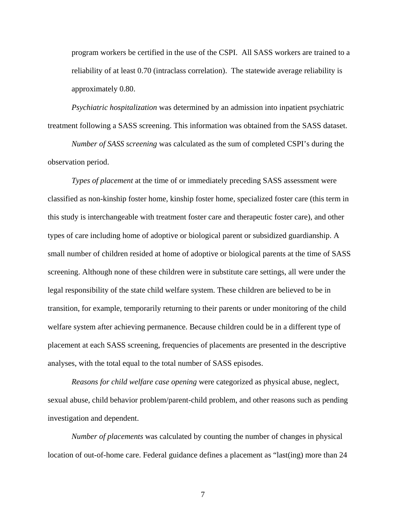program workers be certified in the use of the CSPI. All SASS workers are trained to a reliability of at least 0.70 (intraclass correlation). The statewide average reliability is approximately 0.80.

*Psychiatric hospitalization* was determined by an admission into inpatient psychiatric treatment following a SASS screening. This information was obtained from the SASS dataset.

*Number of SASS screening* was calculated as the sum of completed CSPI's during the observation period.

*Types of placement* at the time of or immediately preceding SASS assessment were classified as non-kinship foster home, kinship foster home, specialized foster care (this term in this study is interchangeable with treatment foster care and therapeutic foster care), and other types of care including home of adoptive or biological parent or subsidized guardianship. A small number of children resided at home of adoptive or biological parents at the time of SASS screening. Although none of these children were in substitute care settings, all were under the legal responsibility of the state child welfare system. These children are believed to be in transition, for example, temporarily returning to their parents or under monitoring of the child welfare system after achieving permanence. Because children could be in a different type of placement at each SASS screening, frequencies of placements are presented in the descriptive analyses, with the total equal to the total number of SASS episodes.

*Reasons for child welfare case opening* were categorized as physical abuse, neglect, sexual abuse, child behavior problem/parent-child problem, and other reasons such as pending investigation and dependent.

*Number of placements* was calculated by counting the number of changes in physical location of out-of-home care. Federal guidance defines a placement as "last(ing) more than 24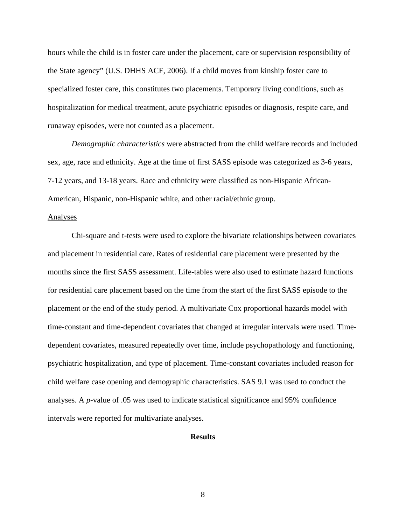hours while the child is in foster care under the placement, care or supervision responsibility of the State agency" (U.S. DHHS ACF, 2006). If a child moves from kinship foster care to specialized foster care, this constitutes two placements. Temporary living conditions, such as hospitalization for medical treatment, acute psychiatric episodes or diagnosis, respite care, and runaway episodes, were not counted as a placement.

 *Demographic characteristics* were abstracted from the child welfare records and included sex, age, race and ethnicity. Age at the time of first SASS episode was categorized as 3-6 years, 7-12 years, and 13-18 years. Race and ethnicity were classified as non-Hispanic African-American, Hispanic, non-Hispanic white, and other racial/ethnic group.

## Analyses

 Chi-square and t-tests were used to explore the bivariate relationships between covariates and placement in residential care. Rates of residential care placement were presented by the months since the first SASS assessment. Life-tables were also used to estimate hazard functions for residential care placement based on the time from the start of the first SASS episode to the placement or the end of the study period. A multivariate Cox proportional hazards model with time-constant and time-dependent covariates that changed at irregular intervals were used. Timedependent covariates, measured repeatedly over time, include psychopathology and functioning, psychiatric hospitalization, and type of placement. Time-constant covariates included reason for child welfare case opening and demographic characteristics. SAS 9.1 was used to conduct the analyses. A *p*-value of .05 was used to indicate statistical significance and 95% confidence intervals were reported for multivariate analyses.

# **Results**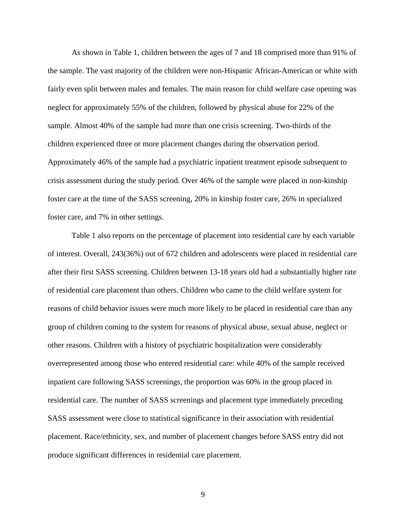As shown in Table 1, children between the ages of 7 and 18 comprised more than 91% of the sample. The vast majority of the children were non-Hispanic African-American or white with fairly even split between males and females. The main reason for child welfare case opening was neglect for approximately 55% of the children, followed by physical abuse for 22% of the sample. Almost 40% of the sample had more than one crisis screening. Two-thirds of the children experienced three or more placement changes during the observation period. Approximately 46% of the sample had a psychiatric inpatient treatment episode subsequent to crisis assessment during the study period. Over 46% of the sample were placed in non-kinship foster care at the time of the SASS screening, 20% in kinship foster care, 26% in specialized foster care, and 7% in other settings.

Table 1 also reports on the percentage of placement into residential care by each variable of interest. Overall, 243(36%) out of 672 children and adolescents were placed in residential care after their first SASS screening. Children between 13-18 years old had a substantially higher rate of residential care placement than others. Children who came to the child welfare system for reasons of child behavior issues were much more likely to be placed in residential care than any group of children coming to the system for reasons of physical abuse, sexual abuse, neglect or other reasons. Children with a history of psychiatric hospitalization were considerably overrepresented among those who entered residential care: while 40% of the sample received inpatient care following SASS screenings, the proportion was 60% in the group placed in residential care. The number of SASS screenings and placement type immediately preceding SASS assessment were close to statistical significance in their association with residential placement. Race/ethnicity, sex, and number of placement changes before SASS entry did not produce significant differences in residential care placement.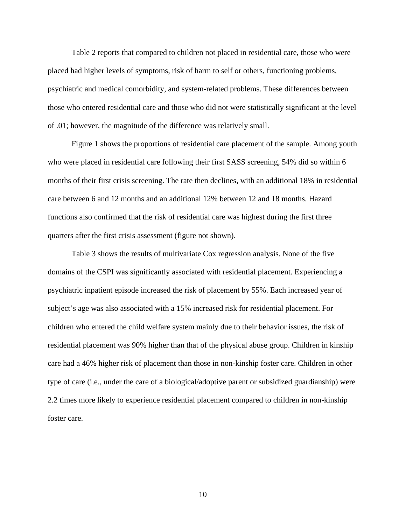Table 2 reports that compared to children not placed in residential care, those who were placed had higher levels of symptoms, risk of harm to self or others, functioning problems, psychiatric and medical comorbidity, and system-related problems. These differences between those who entered residential care and those who did not were statistically significant at the level of .01; however, the magnitude of the difference was relatively small.

 Figure 1 shows the proportions of residential care placement of the sample. Among youth who were placed in residential care following their first SASS screening, 54% did so within 6 months of their first crisis screening. The rate then declines, with an additional 18% in residential care between 6 and 12 months and an additional 12% between 12 and 18 months. Hazard functions also confirmed that the risk of residential care was highest during the first three quarters after the first crisis assessment (figure not shown).

 Table 3 shows the results of multivariate Cox regression analysis. None of the five domains of the CSPI was significantly associated with residential placement. Experiencing a psychiatric inpatient episode increased the risk of placement by 55%. Each increased year of subject's age was also associated with a 15% increased risk for residential placement. For children who entered the child welfare system mainly due to their behavior issues, the risk of residential placement was 90% higher than that of the physical abuse group. Children in kinship care had a 46% higher risk of placement than those in non-kinship foster care. Children in other type of care (i.e., under the care of a biological/adoptive parent or subsidized guardianship) were 2.2 times more likely to experience residential placement compared to children in non-kinship foster care.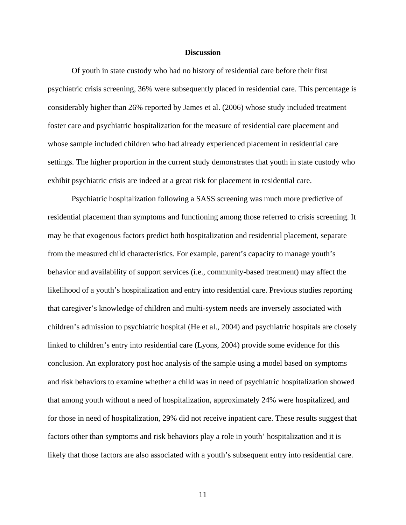# **Discussion**

Of youth in state custody who had no history of residential care before their first psychiatric crisis screening, 36% were subsequently placed in residential care. This percentage is considerably higher than 26% reported by James et al. (2006) whose study included treatment foster care and psychiatric hospitalization for the measure of residential care placement and whose sample included children who had already experienced placement in residential care settings. The higher proportion in the current study demonstrates that youth in state custody who exhibit psychiatric crisis are indeed at a great risk for placement in residential care.

Psychiatric hospitalization following a SASS screening was much more predictive of residential placement than symptoms and functioning among those referred to crisis screening. It may be that exogenous factors predict both hospitalization and residential placement, separate from the measured child characteristics. For example, parent's capacity to manage youth's behavior and availability of support services (i.e., community-based treatment) may affect the likelihood of a youth's hospitalization and entry into residential care. Previous studies reporting that caregiver's knowledge of children and multi-system needs are inversely associated with children's admission to psychiatric hospital (He et al., 2004) and psychiatric hospitals are closely linked to children's entry into residential care (Lyons, 2004) provide some evidence for this conclusion. An exploratory post hoc analysis of the sample using a model based on symptoms and risk behaviors to examine whether a child was in need of psychiatric hospitalization showed that among youth without a need of hospitalization, approximately 24% were hospitalized, and for those in need of hospitalization, 29% did not receive inpatient care. These results suggest that factors other than symptoms and risk behaviors play a role in youth' hospitalization and it is likely that those factors are also associated with a youth's subsequent entry into residential care.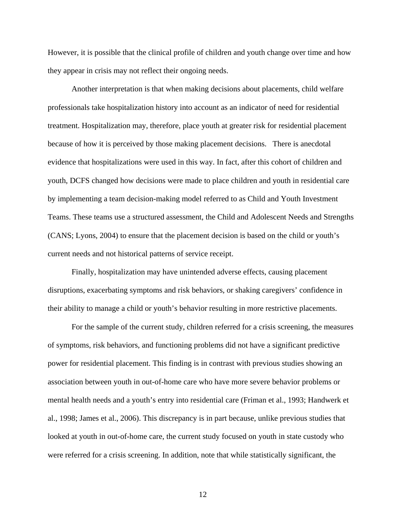However, it is possible that the clinical profile of children and youth change over time and how they appear in crisis may not reflect their ongoing needs.

Another interpretation is that when making decisions about placements, child welfare professionals take hospitalization history into account as an indicator of need for residential treatment. Hospitalization may, therefore, place youth at greater risk for residential placement because of how it is perceived by those making placement decisions. There is anecdotal evidence that hospitalizations were used in this way. In fact, after this cohort of children and youth, DCFS changed how decisions were made to place children and youth in residential care by implementing a team decision-making model referred to as Child and Youth Investment Teams. These teams use a structured assessment, the Child and Adolescent Needs and Strengths (CANS; Lyons, 2004) to ensure that the placement decision is based on the child or youth's current needs and not historical patterns of service receipt.

Finally, hospitalization may have unintended adverse effects, causing placement disruptions, exacerbating symptoms and risk behaviors, or shaking caregivers' confidence in their ability to manage a child or youth's behavior resulting in more restrictive placements.

For the sample of the current study, children referred for a crisis screening, the measures of symptoms, risk behaviors, and functioning problems did not have a significant predictive power for residential placement. This finding is in contrast with previous studies showing an association between youth in out-of-home care who have more severe behavior problems or mental health needs and a youth's entry into residential care (Friman et al., 1993; Handwerk et al., 1998; James et al., 2006). This discrepancy is in part because, unlike previous studies that looked at youth in out-of-home care, the current study focused on youth in state custody who were referred for a crisis screening. In addition, note that while statistically significant, the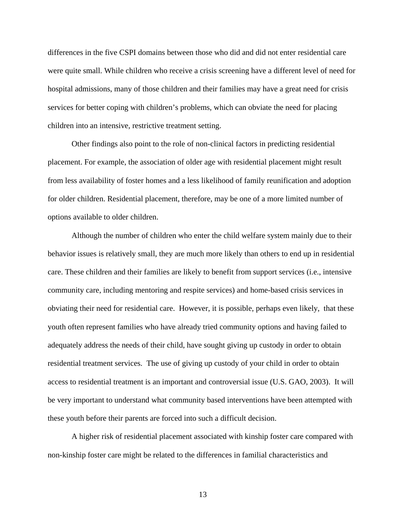differences in the five CSPI domains between those who did and did not enter residential care were quite small. While children who receive a crisis screening have a different level of need for hospital admissions, many of those children and their families may have a great need for crisis services for better coping with children's problems, which can obviate the need for placing children into an intensive, restrictive treatment setting.

Other findings also point to the role of non-clinical factors in predicting residential placement. For example, the association of older age with residential placement might result from less availability of foster homes and a less likelihood of family reunification and adoption for older children. Residential placement, therefore, may be one of a more limited number of options available to older children.

Although the number of children who enter the child welfare system mainly due to their behavior issues is relatively small, they are much more likely than others to end up in residential care. These children and their families are likely to benefit from support services (i.e., intensive community care, including mentoring and respite services) and home-based crisis services in obviating their need for residential care. However, it is possible, perhaps even likely, that these youth often represent families who have already tried community options and having failed to adequately address the needs of their child, have sought giving up custody in order to obtain residential treatment services. The use of giving up custody of your child in order to obtain access to residential treatment is an important and controversial issue (U.S. GAO, 2003). It will be very important to understand what community based interventions have been attempted with these youth before their parents are forced into such a difficult decision.

A higher risk of residential placement associated with kinship foster care compared with non-kinship foster care might be related to the differences in familial characteristics and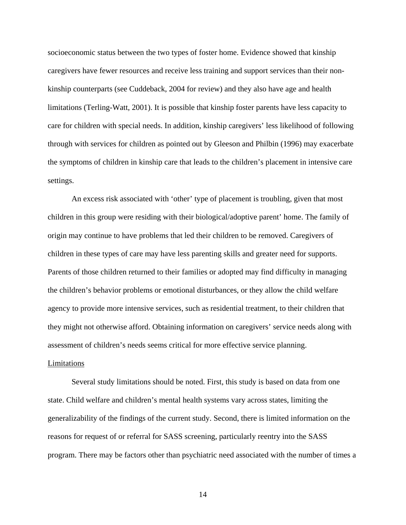socioeconomic status between the two types of foster home. Evidence showed that kinship caregivers have fewer resources and receive less training and support services than their nonkinship counterparts (see Cuddeback, 2004 for review) and they also have age and health limitations (Terling-Watt, 2001). It is possible that kinship foster parents have less capacity to care for children with special needs. In addition, kinship caregivers' less likelihood of following through with services for children as pointed out by Gleeson and Philbin (1996) may exacerbate the symptoms of children in kinship care that leads to the children's placement in intensive care settings.

An excess risk associated with 'other' type of placement is troubling, given that most children in this group were residing with their biological/adoptive parent' home. The family of origin may continue to have problems that led their children to be removed. Caregivers of children in these types of care may have less parenting skills and greater need for supports. Parents of those children returned to their families or adopted may find difficulty in managing the children's behavior problems or emotional disturbances, or they allow the child welfare agency to provide more intensive services, such as residential treatment, to their children that they might not otherwise afford. Obtaining information on caregivers' service needs along with assessment of children's needs seems critical for more effective service planning.

# Limitations

Several study limitations should be noted. First, this study is based on data from one state. Child welfare and children's mental health systems vary across states, limiting the generalizability of the findings of the current study. Second, there is limited information on the reasons for request of or referral for SASS screening, particularly reentry into the SASS program. There may be factors other than psychiatric need associated with the number of times a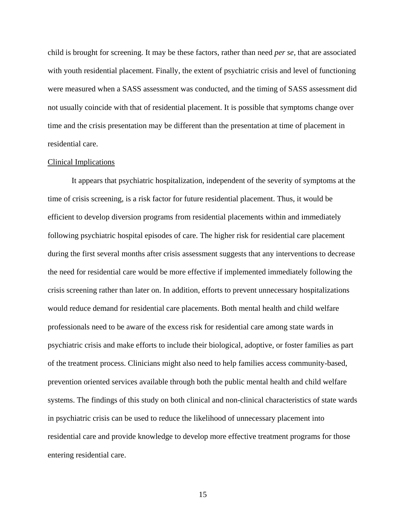child is brought for screening. It may be these factors, rather than need *per se,* that are associated with youth residential placement. Finally, the extent of psychiatric crisis and level of functioning were measured when a SASS assessment was conducted, and the timing of SASS assessment did not usually coincide with that of residential placement. It is possible that symptoms change over time and the crisis presentation may be different than the presentation at time of placement in residential care.

## Clinical Implications

 It appears that psychiatric hospitalization, independent of the severity of symptoms at the time of crisis screening, is a risk factor for future residential placement. Thus, it would be efficient to develop diversion programs from residential placements within and immediately following psychiatric hospital episodes of care. The higher risk for residential care placement during the first several months after crisis assessment suggests that any interventions to decrease the need for residential care would be more effective if implemented immediately following the crisis screening rather than later on. In addition, efforts to prevent unnecessary hospitalizations would reduce demand for residential care placements. Both mental health and child welfare professionals need to be aware of the excess risk for residential care among state wards in psychiatric crisis and make efforts to include their biological, adoptive, or foster families as part of the treatment process. Clinicians might also need to help families access community-based, prevention oriented services available through both the public mental health and child welfare systems. The findings of this study on both clinical and non-clinical characteristics of state wards in psychiatric crisis can be used to reduce the likelihood of unnecessary placement into residential care and provide knowledge to develop more effective treatment programs for those entering residential care.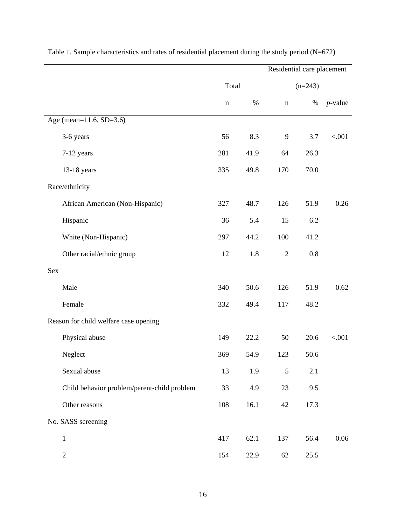|                                             |             |      | Residential care placement |      |            |
|---------------------------------------------|-------------|------|----------------------------|------|------------|
|                                             | Total       |      | $(n=243)$                  |      |            |
|                                             | $\mathbf n$ | $\%$ | $\mathbf n$                | $\%$ | $p$ -value |
| Age (mean=11.6, SD=3.6)                     |             |      |                            |      |            |
| 3-6 years                                   | 56          | 8.3  | 9                          | 3.7  | < .001     |
| 7-12 years                                  | 281         | 41.9 | 64                         | 26.3 |            |
| 13-18 years                                 | 335         | 49.8 | 170                        | 70.0 |            |
| Race/ethnicity                              |             |      |                            |      |            |
| African American (Non-Hispanic)             | 327         | 48.7 | 126                        | 51.9 | 0.26       |
| Hispanic                                    | 36          | 5.4  | 15                         | 6.2  |            |
| White (Non-Hispanic)                        | 297         | 44.2 | 100                        | 41.2 |            |
| Other racial/ethnic group                   | 12          | 1.8  | $\mathfrak{2}$             | 0.8  |            |
| Sex                                         |             |      |                            |      |            |
| Male                                        | 340         | 50.6 | 126                        | 51.9 | 0.62       |
| Female                                      | 332         | 49.4 | 117                        | 48.2 |            |
| Reason for child welfare case opening       |             |      |                            |      |            |
| Physical abuse                              | 149         | 22.2 | 50                         | 20.6 | < .001     |
| Neglect                                     | 369         | 54.9 | 123                        | 50.6 |            |
| Sexual abuse                                | 13          | 1.9  | 5                          | 2.1  |            |
| Child behavior problem/parent-child problem | 33          | 4.9  | 23                         | 9.5  |            |
| Other reasons                               | 108         | 16.1 | 42                         | 17.3 |            |
| No. SASS screening                          |             |      |                            |      |            |
| $\,1$                                       | 417         | 62.1 | 137                        | 56.4 | $0.06\,$   |
| $\sqrt{2}$                                  | 154         | 22.9 | 62                         | 25.5 |            |

Table 1. Sample characteristics and rates of residential placement during the study period (N=672)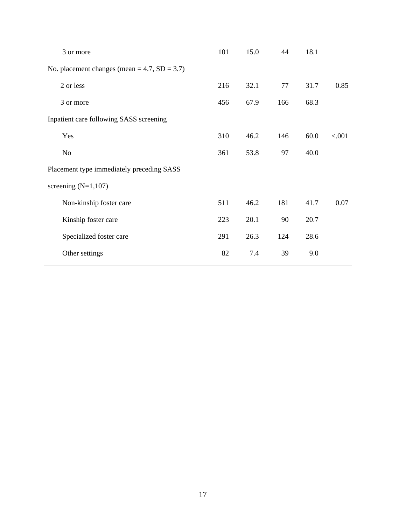|           | 3 or more                                          | 101 | 15.0 | 44  | 18.1 |        |
|-----------|----------------------------------------------------|-----|------|-----|------|--------|
|           | No. placement changes (mean = $4.7$ , SD = $3.7$ ) |     |      |     |      |        |
| 2 or less |                                                    | 216 | 32.1 | 77  | 31.7 | 0.85   |
| 3 or more |                                                    | 456 | 67.9 | 166 | 68.3 |        |
|           | Inpatient care following SASS screening            |     |      |     |      |        |
| Yes       |                                                    | 310 | 46.2 | 146 | 60.0 | < .001 |
| No        |                                                    | 361 | 53.8 | 97  | 40.0 |        |
|           | Placement type immediately preceding SASS          |     |      |     |      |        |
|           | screening $(N=1,107)$                              |     |      |     |      |        |
|           | Non-kinship foster care                            | 511 | 46.2 | 181 | 41.7 | 0.07   |
|           | Kinship foster care                                | 223 | 20.1 | 90  | 20.7 |        |
|           | Specialized foster care                            | 291 | 26.3 | 124 | 28.6 |        |
|           | Other settings                                     | 82  | 7.4  | 39  | 9.0  |        |
|           |                                                    |     |      |     |      |        |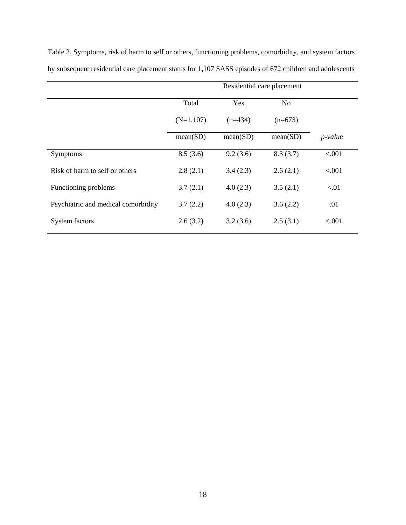|                                     | Residential care placement |                              |           |            |  |
|-------------------------------------|----------------------------|------------------------------|-----------|------------|--|
|                                     | Total                      | N <sub>o</sub><br><b>Yes</b> |           |            |  |
|                                     | $(N=1,107)$                | $(n=434)$                    | $(n=673)$ |            |  |
|                                     | mean(SD)                   | mean(SD)                     | mean(SD)  | $p$ -value |  |
| Symptoms                            | 8.5(3.6)                   | 9.2(3.6)                     | 8.3(3.7)  | < .001     |  |
| Risk of harm to self or others      | 2.8(2.1)                   | 3.4(2.3)                     | 2.6(2.1)  | < .001     |  |
| Functioning problems                | 3.7(2.1)                   | 4.0(2.3)                     | 3.5(2.1)  | < 01       |  |
| Psychiatric and medical comorbidity | 3.7(2.2)                   | 4.0(2.3)                     | 3.6(2.2)  | .01        |  |
| System factors                      | 2.6(3.2)                   | 3.2(3.6)                     | 2.5(3.1)  | < .001     |  |

Table 2. Symptoms, risk of harm to self or others, functioning problems, comorbidity, and system factors by subsequent residential care placement status for 1,107 SASS episodes of 672 children and adolescents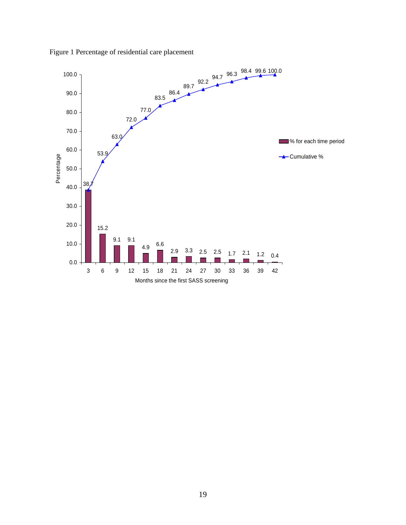

Figure 1 Percentage of residential care placement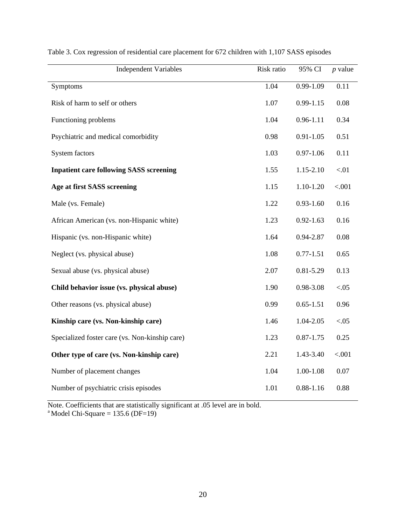| <b>Independent Variables</b>                   | Risk ratio | 95% CI        | $p$ value |
|------------------------------------------------|------------|---------------|-----------|
| Symptoms                                       | 1.04       | $0.99 - 1.09$ | 0.11      |
| Risk of harm to self or others                 | 1.07       | $0.99 - 1.15$ | 0.08      |
| Functioning problems                           | 1.04       | $0.96 - 1.11$ | 0.34      |
| Psychiatric and medical comorbidity            | 0.98       | $0.91 - 1.05$ | 0.51      |
| <b>System factors</b>                          | 1.03       | $0.97 - 1.06$ | 0.11      |
| <b>Inpatient care following SASS screening</b> | 1.55       | 1.15-2.10     | $< 01$    |
| Age at first SASS screening                    | 1.15       | $1.10 - 1.20$ | < .001    |
| Male (vs. Female)                              | 1.22       | $0.93 - 1.60$ | 0.16      |
| African American (vs. non-Hispanic white)      | 1.23       | $0.92 - 1.63$ | 0.16      |
| Hispanic (vs. non-Hispanic white)              | 1.64       | 0.94-2.87     | 0.08      |
| Neglect (vs. physical abuse)                   | 1.08       | $0.77 - 1.51$ | 0.65      |
| Sexual abuse (vs. physical abuse)              | 2.07       | $0.81 - 5.29$ | 0.13      |
| Child behavior issue (vs. physical abuse)      | 1.90       | 0.98-3.08     | < 0.05    |
| Other reasons (vs. physical abuse)             | 0.99       | $0.65 - 1.51$ | 0.96      |
| Kinship care (vs. Non-kinship care)            | 1.46       | 1.04-2.05     | < 0.05    |
| Specialized foster care (vs. Non-kinship care) | 1.23       | $0.87 - 1.75$ | 0.25      |
| Other type of care (vs. Non-kinship care)      | 2.21       | 1.43-3.40     | < .001    |
| Number of placement changes                    | 1.04       | $1.00 - 1.08$ | $0.07\,$  |
| Number of psychiatric crisis episodes          | 1.01       | $0.88 - 1.16$ | 0.88      |

Table 3. Cox regression of residential care placement for 672 children with 1,107 SASS episodes

Note. Coefficients that are statistically significant at .05 level are in bold. <sup>a</sup> Model Chi-Square = 135.6 (DF=19)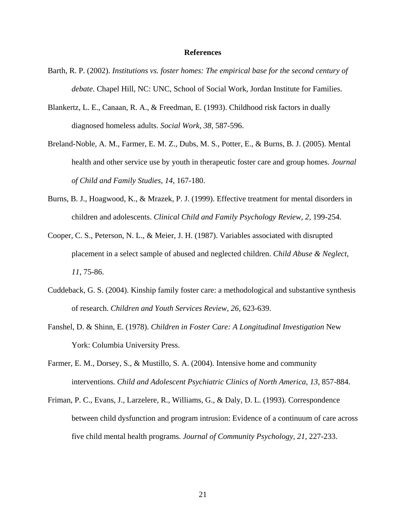# **References**

- Barth, R. P. (2002). *Institutions vs. foster homes: The empirical base for the second century of debate*. Chapel Hill, NC: UNC, School of Social Work, Jordan Institute for Families.
- Blankertz, L. E., Canaan, R. A., & Freedman, E. (1993). Childhood risk factors in dually diagnosed homeless adults. *Social Work, 38,* 587-596.
- Breland-Noble, A. M., Farmer, E. M. Z., Dubs, M. S., Potter, E., & Burns, B. J. (2005). Mental health and other service use by youth in therapeutic foster care and group homes. *Journal of Child and Family Studies, 14,* 167-180.
- Burns, B. J., Hoagwood, K., & Mrazek, P. J. (1999). Effective treatment for mental disorders in children and adolescents. *Clinical Child and Family Psychology Review, 2,* 199-254.
- Cooper, C. S., Peterson, N. L., & Meier, J. H. (1987). Variables associated with disrupted placement in a select sample of abused and neglected children. *Child Abuse & Neglect, 11,* 75-86.
- Cuddeback, G. S. (2004). Kinship family foster care: a methodological and substantive synthesis of research. *Children and Youth Services Review, 26,* 623-639.
- Fanshel, D. & Shinn, E. (1978). *Children in Foster Care: A Longitudinal Investigation* New York: Columbia University Press.
- Farmer, E. M., Dorsey, S., & Mustillo, S. A. (2004). Intensive home and community interventions. *Child and Adolescent Psychiatric Clinics of North America, 13,* 857-884.
- Friman, P. C., Evans, J., Larzelere, R., Williams, G., & Daly, D. L. (1993). Correspondence between child dysfunction and program intrusion: Evidence of a continuum of care across five child mental health programs. *Journal of Community Psychology, 21,* 227-233.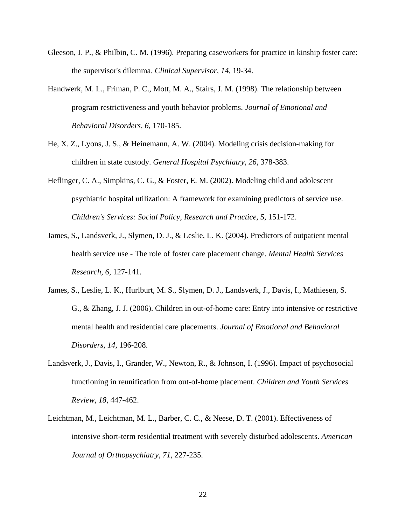- Gleeson, J. P., & Philbin, C. M. (1996). Preparing caseworkers for practice in kinship foster care: the supervisor's dilemma. *Clinical Supervisor, 14,* 19-34.
- Handwerk, M. L., Friman, P. C., Mott, M. A., Stairs, J. M. (1998). The relationship between program restrictiveness and youth behavior problems. *Journal of Emotional and Behavioral Disorders, 6,* 170-185.
- He, X. Z., Lyons, J. S., & Heinemann, A. W. (2004). Modeling crisis decision-making for children in state custody. *General Hospital Psychiatry, 26,* 378-383.
- Heflinger, C. A., Simpkins, C. G., & Foster, E. M. (2002). Modeling child and adolescent psychiatric hospital utilization: A framework for examining predictors of service use. *Children's Services: Social Policy, Research and Practice, 5,* 151-172.
- James, S., Landsverk, J., Slymen, D. J., & Leslie, L. K. (2004). Predictors of outpatient mental health service use - The role of foster care placement change. *Mental Health Services Research, 6,* 127-141.
- James, S., Leslie, L. K., Hurlburt, M. S., Slymen, D. J., Landsverk, J., Davis, I., Mathiesen, S. G., & Zhang, J. J. (2006). Children in out-of-home care: Entry into intensive or restrictive mental health and residential care placements. *Journal of Emotional and Behavioral Disorders, 14,* 196-208.
- Landsverk, J., Davis, I., Grander, W., Newton, R., & Johnson, I. (1996). Impact of psychosocial functioning in reunification from out-of-home placement. *Children and Youth Services Review, 18,* 447-462.
- Leichtman, M., Leichtman, M. L., Barber, C. C., & Neese, D. T. (2001). Effectiveness of intensive short-term residential treatment with severely disturbed adolescents. *American Journal of Orthopsychiatry, 71,* 227-235.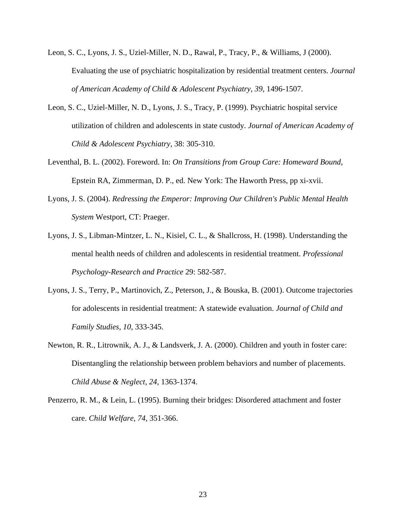- Leon, S. C., Lyons, J. S., Uziel-Miller, N. D., Rawal, P., Tracy, P., & Williams, J (2000). Evaluating the use of psychiatric hospitalization by residential treatment centers. *Journal of American Academy of Child & Adolescent Psychiatry, 39,* 1496-1507.
- Leon, S. C., Uziel-Miller, N. D., Lyons, J. S., Tracy, P. (1999). Psychiatric hospital service utilization of children and adolescents in state custody. *Journal of American Academy of Child & Adolescent Psychiatry,* 38: 305-310.
- Leventhal, B. L. (2002). Foreword. In: *On Transitions from Group Care: Homeward Bound*, Epstein RA, Zimmerman, D. P., ed. New York: The Haworth Press, pp xi-xvii.
- Lyons, J. S. (2004). *Redressing the Emperor: Improving Our Children's Public Mental Health System* Westport, CT: Praeger.
- Lyons, J. S., Libman-Mintzer, L. N., Kisiel, C. L., & Shallcross, H. (1998). Understanding the mental health needs of children and adolescents in residential treatment. *Professional Psychology-Research and Practice* 29: 582-587.
- Lyons, J. S., Terry, P., Martinovich, Z., Peterson, J., & Bouska, B. (2001). Outcome trajectories for adolescents in residential treatment: A statewide evaluation. *Journal of Child and Family Studies, 10,* 333-345.
- Newton, R. R., Litrownik, A. J., & Landsverk, J. A. (2000). Children and youth in foster care: Disentangling the relationship between problem behaviors and number of placements. *Child Abuse & Neglect, 24,* 1363-1374.
- Penzerro, R. M., & Lein, L. (1995). Burning their bridges: Disordered attachment and foster care. *Child Welfare, 74,* 351-366.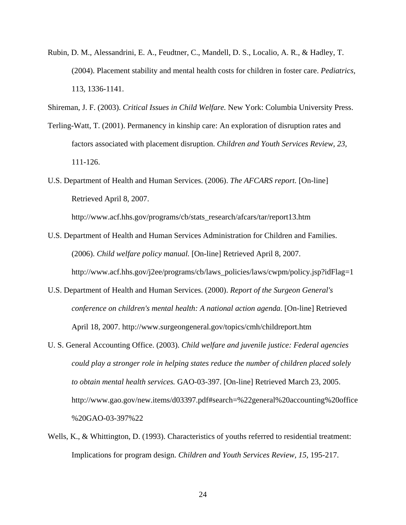- Rubin, D. M., Alessandrini, E. A., Feudtner, C., Mandell, D. S., Localio, A. R., & Hadley, T. (2004). Placement stability and mental health costs for children in foster care. *Pediatrics,* 113, 1336-1141.
- Shireman, J. F. (2003). *Critical Issues in Child Welfare.* New York: Columbia University Press.
- Terling-Watt, T. (2001). Permanency in kinship care: An exploration of disruption rates and factors associated with placement disruption. *Children and Youth Services Review, 23,* 111-126.
- U.S. Department of Health and Human Services. (2006). *The AFCARS report.* [On-line] Retrieved April 8, 2007.

http://www.acf.hhs.gov/programs/cb/stats\_research/afcars/tar/report13.htm

- U.S. Department of Health and Human Services Administration for Children and Families. (2006). *Child welfare policy manual.* [On-line] Retrieved April 8, 2007. http://www.acf.hhs.gov/j2ee/programs/cb/laws\_policies/laws/cwpm/policy.jsp?idFlag=1
- U.S. Department of Health and Human Services. (2000). *Report of the Surgeon General's conference on children's mental health: A national action agenda.* [On-line] Retrieved April 18, 2007. http://www.surgeongeneral.gov/topics/cmh/childreport.htm
- U. S. General Accounting Office. (2003). *Child welfare and juvenile justice: Federal agencies could play a stronger role in helping states reduce the number of children placed solely to obtain mental health services.* GAO-03-397. [On-line] Retrieved March 23, 2005. http://www.gao.gov/new.items/d03397.pdf#search=%22general%20accounting%20office %20GAO-03-397%22
- Wells, K., & Whittington, D. (1993). Characteristics of youths referred to residential treatment: Implications for program design. *Children and Youth Services Review, 15,* 195-217.